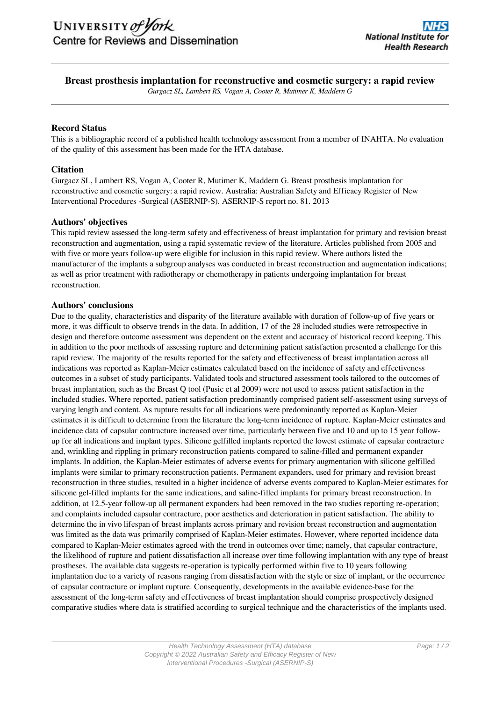# **Breast prosthesis implantation for reconstructive and cosmetic surgery: a rapid review**

*Gurgacz SL, Lambert RS, Vogan A, Cooter R, Mutimer K, Maddern G*

### **Record Status**

This is a bibliographic record of a published health technology assessment from a member of INAHTA. No evaluation of the quality of this assessment has been made for the HTA database.

## **Citation**

Gurgacz SL, Lambert RS, Vogan A, Cooter R, Mutimer K, Maddern G. Breast prosthesis implantation for reconstructive and cosmetic surgery: a rapid review. Australia: Australian Safety and Efficacy Register of New Interventional Procedures -Surgical (ASERNIP-S). ASERNIP-S report no. 81. 2013

#### **Authors' objectives**

This rapid review assessed the long-term safety and effectiveness of breast implantation for primary and revision breast reconstruction and augmentation, using a rapid systematic review of the literature. Articles published from 2005 and with five or more years follow-up were eligible for inclusion in this rapid review. Where authors listed the manufacturer of the implants a subgroup analyses was conducted in breast reconstruction and augmentation indications; as well as prior treatment with radiotherapy or chemotherapy in patients undergoing implantation for breast reconstruction.

#### **Authors' conclusions**

Due to the quality, characteristics and disparity of the literature available with duration of follow-up of five years or more, it was difficult to observe trends in the data. In addition, 17 of the 28 included studies were retrospective in design and therefore outcome assessment was dependent on the extent and accuracy of historical record keeping. This in addition to the poor methods of assessing rupture and determining patient satisfaction presented a challenge for this rapid review. The majority of the results reported for the safety and effectiveness of breast implantation across all indications was reported as Kaplan-Meier estimates calculated based on the incidence of safety and effectiveness outcomes in a subset of study participants. Validated tools and structured assessment tools tailored to the outcomes of breast implantation, such as the Breast Q tool (Pusic et al 2009) were not used to assess patient satisfaction in the included studies. Where reported, patient satisfaction predominantly comprised patient self-assessment using surveys of varying length and content. As rupture results for all indications were predominantly reported as Kaplan-Meier estimates it is difficult to determine from the literature the long-term incidence of rupture. Kaplan-Meier estimates and incidence data of capsular contracture increased over time, particularly between five and 10 and up to 15 year followup for all indications and implant types. Silicone gelfilled implants reported the lowest estimate of capsular contracture and, wrinkling and rippling in primary reconstruction patients compared to saline-filled and permanent expander implants. In addition, the Kaplan-Meier estimates of adverse events for primary augmentation with silicone gelfilled implants were similar to primary reconstruction patients. Permanent expanders, used for primary and revision breast reconstruction in three studies, resulted in a higher incidence of adverse events compared to Kaplan-Meier estimates for silicone gel-filled implants for the same indications, and saline-filled implants for primary breast reconstruction. In addition, at 12.5-year follow-up all permanent expanders had been removed in the two studies reporting re-operation; and complaints included capsular contracture, poor aesthetics and deterioration in patient satisfaction. The ability to determine the in vivo lifespan of breast implants across primary and revision breast reconstruction and augmentation was limited as the data was primarily comprised of Kaplan-Meier estimates. However, where reported incidence data compared to Kaplan-Meier estimates agreed with the trend in outcomes over time; namely, that capsular contracture, the likelihood of rupture and patient dissatisfaction all increase over time following implantation with any type of breast prostheses. The available data suggests re-operation is typically performed within five to 10 years following implantation due to a variety of reasons ranging from dissatisfaction with the style or size of implant, or the occurrence of capsular contracture or implant rupture. Consequently, developments in the available evidence-base for the assessment of the long-term safety and effectiveness of breast implantation should comprise prospectively designed comparative studies where data is stratified according to surgical technique and the characteristics of the implants used.